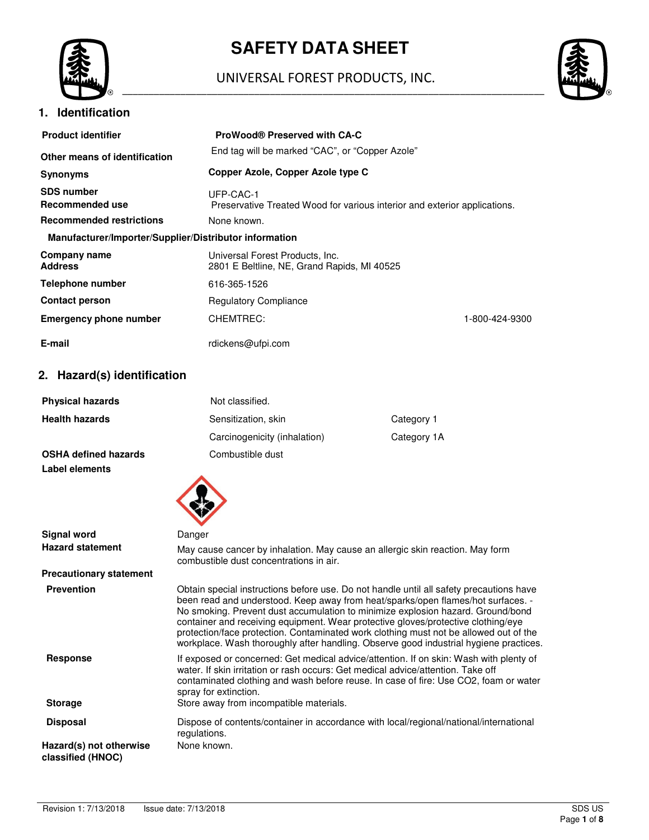

# **SAFETY DATA SHEET**

#### UNIVERSAL FOREST PRODUCTS, INC. \_\_\_\_\_\_\_\_\_\_\_\_\_\_\_\_\_\_\_\_\_\_\_\_\_\_\_\_\_\_\_\_\_\_\_\_\_\_\_\_\_\_\_\_\_\_\_\_\_\_\_\_\_\_\_\_\_\_\_\_\_\_\_\_\_\_\_\_\_\_\_\_\_\_\_\_\_\_\_\_





| <b>Product identifier</b>                              | <b>ProWood® Preserved with CA-C</b>                                                     |                |
|--------------------------------------------------------|-----------------------------------------------------------------------------------------|----------------|
| Other means of identification                          | End tag will be marked "CAC", or "Copper Azole"                                         |                |
| <b>Synonyms</b>                                        | Copper Azole, Copper Azole type C                                                       |                |
| <b>SDS number</b><br>Recommended use                   | LIFP-CAC-1<br>Preservative Treated Wood for various interior and exterior applications. |                |
| <b>Recommended restrictions</b>                        | None known.                                                                             |                |
| Manufacturer/Importer/Supplier/Distributor information |                                                                                         |                |
| Company name<br><b>Address</b>                         | Universal Forest Products, Inc.<br>2801 E Beltline, NE, Grand Rapids, MI 40525          |                |
| <b>Telephone number</b>                                | 616-365-1526                                                                            |                |
| <b>Contact person</b>                                  | <b>Regulatory Compliance</b>                                                            |                |
| <b>Emergency phone number</b>                          | CHEMTREC:                                                                               | 1-800-424-9300 |
| E-mail                                                 | rdickens@ufpi.com                                                                       |                |

# **2. Hazard(s) identification**

| <b>Health hazards</b><br>Sensitization, skin<br>Category 1<br>Carcinogenicity (inhalation)<br>Category 1A<br><b>OSHA defined hazards</b><br>Combustible dust<br>Label elements<br>Signal word<br>Danger<br><b>Hazard statement</b><br>May cause cancer by inhalation. May cause an allergic skin reaction. May form<br>combustible dust concentrations in air.<br><b>Precautionary statement</b><br><b>Prevention</b><br>Obtain special instructions before use. Do not handle until all safety precautions have<br>been read and understood. Keep away from heat/sparks/open flames/hot surfaces. -<br>No smoking. Prevent dust accumulation to minimize explosion hazard. Ground/bond<br>container and receiving equipment. Wear protective gloves/protective clothing/eye<br>protection/face protection. Contaminated work clothing must not be allowed out of the<br>workplace. Wash thoroughly after handling. Observe good industrial hygiene practices.<br><b>Response</b><br>If exposed or concerned: Get medical advice/attention. If on skin: Wash with plenty of<br>water. If skin irritation or rash occurs: Get medical advice/attention. Take off<br>contaminated clothing and wash before reuse. In case of fire: Use CO2, foam or water<br>spray for extinction.<br>Store away from incompatible materials.<br><b>Storage</b><br><b>Disposal</b><br>Dispose of contents/container in accordance with local/regional/national/international<br>regulations.<br>None known.<br>Hazard(s) not otherwise<br>classified (HNOC) | <b>Physical hazards</b> | Not classified. |  |  |
|-------------------------------------------------------------------------------------------------------------------------------------------------------------------------------------------------------------------------------------------------------------------------------------------------------------------------------------------------------------------------------------------------------------------------------------------------------------------------------------------------------------------------------------------------------------------------------------------------------------------------------------------------------------------------------------------------------------------------------------------------------------------------------------------------------------------------------------------------------------------------------------------------------------------------------------------------------------------------------------------------------------------------------------------------------------------------------------------------------------------------------------------------------------------------------------------------------------------------------------------------------------------------------------------------------------------------------------------------------------------------------------------------------------------------------------------------------------------------------------------------------------------------------------------|-------------------------|-----------------|--|--|
|                                                                                                                                                                                                                                                                                                                                                                                                                                                                                                                                                                                                                                                                                                                                                                                                                                                                                                                                                                                                                                                                                                                                                                                                                                                                                                                                                                                                                                                                                                                                           |                         |                 |  |  |
|                                                                                                                                                                                                                                                                                                                                                                                                                                                                                                                                                                                                                                                                                                                                                                                                                                                                                                                                                                                                                                                                                                                                                                                                                                                                                                                                                                                                                                                                                                                                           |                         |                 |  |  |
|                                                                                                                                                                                                                                                                                                                                                                                                                                                                                                                                                                                                                                                                                                                                                                                                                                                                                                                                                                                                                                                                                                                                                                                                                                                                                                                                                                                                                                                                                                                                           |                         |                 |  |  |
|                                                                                                                                                                                                                                                                                                                                                                                                                                                                                                                                                                                                                                                                                                                                                                                                                                                                                                                                                                                                                                                                                                                                                                                                                                                                                                                                                                                                                                                                                                                                           |                         |                 |  |  |
|                                                                                                                                                                                                                                                                                                                                                                                                                                                                                                                                                                                                                                                                                                                                                                                                                                                                                                                                                                                                                                                                                                                                                                                                                                                                                                                                                                                                                                                                                                                                           |                         |                 |  |  |
|                                                                                                                                                                                                                                                                                                                                                                                                                                                                                                                                                                                                                                                                                                                                                                                                                                                                                                                                                                                                                                                                                                                                                                                                                                                                                                                                                                                                                                                                                                                                           |                         |                 |  |  |
|                                                                                                                                                                                                                                                                                                                                                                                                                                                                                                                                                                                                                                                                                                                                                                                                                                                                                                                                                                                                                                                                                                                                                                                                                                                                                                                                                                                                                                                                                                                                           |                         |                 |  |  |
|                                                                                                                                                                                                                                                                                                                                                                                                                                                                                                                                                                                                                                                                                                                                                                                                                                                                                                                                                                                                                                                                                                                                                                                                                                                                                                                                                                                                                                                                                                                                           |                         |                 |  |  |
|                                                                                                                                                                                                                                                                                                                                                                                                                                                                                                                                                                                                                                                                                                                                                                                                                                                                                                                                                                                                                                                                                                                                                                                                                                                                                                                                                                                                                                                                                                                                           |                         |                 |  |  |
|                                                                                                                                                                                                                                                                                                                                                                                                                                                                                                                                                                                                                                                                                                                                                                                                                                                                                                                                                                                                                                                                                                                                                                                                                                                                                                                                                                                                                                                                                                                                           |                         |                 |  |  |
|                                                                                                                                                                                                                                                                                                                                                                                                                                                                                                                                                                                                                                                                                                                                                                                                                                                                                                                                                                                                                                                                                                                                                                                                                                                                                                                                                                                                                                                                                                                                           |                         |                 |  |  |
|                                                                                                                                                                                                                                                                                                                                                                                                                                                                                                                                                                                                                                                                                                                                                                                                                                                                                                                                                                                                                                                                                                                                                                                                                                                                                                                                                                                                                                                                                                                                           |                         |                 |  |  |
|                                                                                                                                                                                                                                                                                                                                                                                                                                                                                                                                                                                                                                                                                                                                                                                                                                                                                                                                                                                                                                                                                                                                                                                                                                                                                                                                                                                                                                                                                                                                           |                         |                 |  |  |
|                                                                                                                                                                                                                                                                                                                                                                                                                                                                                                                                                                                                                                                                                                                                                                                                                                                                                                                                                                                                                                                                                                                                                                                                                                                                                                                                                                                                                                                                                                                                           |                         |                 |  |  |
|                                                                                                                                                                                                                                                                                                                                                                                                                                                                                                                                                                                                                                                                                                                                                                                                                                                                                                                                                                                                                                                                                                                                                                                                                                                                                                                                                                                                                                                                                                                                           |                         |                 |  |  |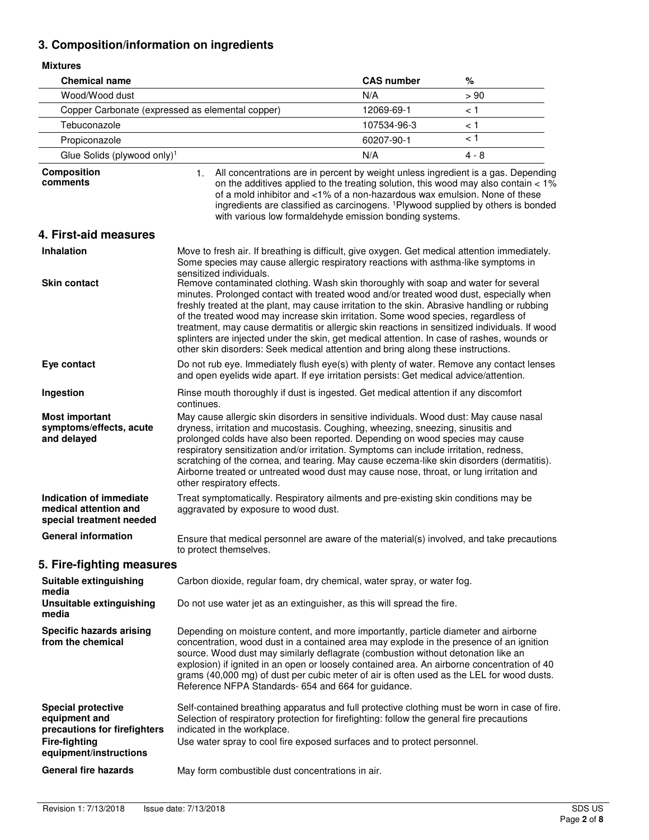# **3. Composition/information on ingredients**

| <b>Mixtures</b>                                                                                    |                                                                                                                                                                                                                                                                                                                                                                                                                                                                                                                                                                                                                                                       |                                                                                                                                       |                                                                                                                                                                                    |
|----------------------------------------------------------------------------------------------------|-------------------------------------------------------------------------------------------------------------------------------------------------------------------------------------------------------------------------------------------------------------------------------------------------------------------------------------------------------------------------------------------------------------------------------------------------------------------------------------------------------------------------------------------------------------------------------------------------------------------------------------------------------|---------------------------------------------------------------------------------------------------------------------------------------|------------------------------------------------------------------------------------------------------------------------------------------------------------------------------------|
| <b>Chemical name</b>                                                                               |                                                                                                                                                                                                                                                                                                                                                                                                                                                                                                                                                                                                                                                       | <b>CAS number</b>                                                                                                                     | $\%$                                                                                                                                                                               |
| Wood/Wood dust                                                                                     |                                                                                                                                                                                                                                                                                                                                                                                                                                                                                                                                                                                                                                                       | N/A                                                                                                                                   | > 90                                                                                                                                                                               |
| Copper Carbonate (expressed as elemental copper)                                                   |                                                                                                                                                                                                                                                                                                                                                                                                                                                                                                                                                                                                                                                       | 12069-69-1                                                                                                                            | < 1                                                                                                                                                                                |
| Tebuconazole                                                                                       |                                                                                                                                                                                                                                                                                                                                                                                                                                                                                                                                                                                                                                                       | 107534-96-3                                                                                                                           | < 1                                                                                                                                                                                |
| Propiconazole                                                                                      |                                                                                                                                                                                                                                                                                                                                                                                                                                                                                                                                                                                                                                                       | 60207-90-1                                                                                                                            | < 1                                                                                                                                                                                |
| Glue Solids (plywood only) <sup>1</sup>                                                            |                                                                                                                                                                                                                                                                                                                                                                                                                                                                                                                                                                                                                                                       | N/A                                                                                                                                   | 4 - 8                                                                                                                                                                              |
| <b>Composition</b><br>comments                                                                     | All concentrations are in percent by weight unless ingredient is a gas. Depending<br>1.                                                                                                                                                                                                                                                                                                                                                                                                                                                                                                                                                               | of a mold inhibitor and <1% of a non-hazardous wax emulsion. None of these<br>with various low formaldehyde emission bonding systems. | on the additives applied to the treating solution, this wood may also contain < 1%<br>ingredients are classified as carcinogens. <sup>1</sup> Plywood supplied by others is bonded |
| 4. First-aid measures                                                                              |                                                                                                                                                                                                                                                                                                                                                                                                                                                                                                                                                                                                                                                       |                                                                                                                                       |                                                                                                                                                                                    |
| <b>Inhalation</b>                                                                                  | Move to fresh air. If breathing is difficult, give oxygen. Get medical attention immediately.<br>Some species may cause allergic respiratory reactions with asthma-like symptoms in<br>sensitized individuals.                                                                                                                                                                                                                                                                                                                                                                                                                                        |                                                                                                                                       |                                                                                                                                                                                    |
| <b>Skin contact</b>                                                                                | Remove contaminated clothing. Wash skin thoroughly with soap and water for several<br>minutes. Prolonged contact with treated wood and/or treated wood dust, especially when<br>freshly treated at the plant, may cause irritation to the skin. Abrasive handling or rubbing<br>of the treated wood may increase skin irritation. Some wood species, regardless of<br>treatment, may cause dermatitis or allergic skin reactions in sensitized individuals. If wood<br>splinters are injected under the skin, get medical attention. In case of rashes, wounds or<br>other skin disorders: Seek medical attention and bring along these instructions. |                                                                                                                                       |                                                                                                                                                                                    |
| Eye contact                                                                                        | Do not rub eye. Immediately flush eye(s) with plenty of water. Remove any contact lenses<br>and open eyelids wide apart. If eye irritation persists: Get medical advice/attention.                                                                                                                                                                                                                                                                                                                                                                                                                                                                    |                                                                                                                                       |                                                                                                                                                                                    |
| Ingestion                                                                                          | Rinse mouth thoroughly if dust is ingested. Get medical attention if any discomfort<br>continues.                                                                                                                                                                                                                                                                                                                                                                                                                                                                                                                                                     |                                                                                                                                       |                                                                                                                                                                                    |
| <b>Most important</b><br>symptoms/effects, acute<br>and delayed                                    | May cause allergic skin disorders in sensitive individuals. Wood dust: May cause nasal<br>dryness, irritation and mucostasis. Coughing, wheezing, sneezing, sinusitis and<br>prolonged colds have also been reported. Depending on wood species may cause<br>respiratory sensitization and/or irritation. Symptoms can include irritation, redness,<br>scratching of the cornea, and tearing. May cause eczema-like skin disorders (dermatitis).<br>Airborne treated or untreated wood dust may cause nose, throat, or lung irritation and<br>other respiratory effects.                                                                              |                                                                                                                                       |                                                                                                                                                                                    |
| Indication of immediate<br>medical attention and<br>special treatment needed                       | Treat symptomatically. Respiratory ailments and pre-existing skin conditions may be<br>aggravated by exposure to wood dust.                                                                                                                                                                                                                                                                                                                                                                                                                                                                                                                           |                                                                                                                                       |                                                                                                                                                                                    |
| <b>General information</b>                                                                         | Ensure that medical personnel are aware of the material(s) involved, and take precautions<br>to protect themselves.                                                                                                                                                                                                                                                                                                                                                                                                                                                                                                                                   |                                                                                                                                       |                                                                                                                                                                                    |
| 5. Fire-fighting measures                                                                          |                                                                                                                                                                                                                                                                                                                                                                                                                                                                                                                                                                                                                                                       |                                                                                                                                       |                                                                                                                                                                                    |
| Suitable extinguishing<br>media                                                                    | Carbon dioxide, regular foam, dry chemical, water spray, or water fog.                                                                                                                                                                                                                                                                                                                                                                                                                                                                                                                                                                                |                                                                                                                                       |                                                                                                                                                                                    |
| Unsuitable extinguishing<br>media                                                                  | Do not use water jet as an extinguisher, as this will spread the fire.                                                                                                                                                                                                                                                                                                                                                                                                                                                                                                                                                                                |                                                                                                                                       |                                                                                                                                                                                    |
| <b>Specific hazards arising</b><br>from the chemical                                               | Depending on moisture content, and more importantly, particle diameter and airborne<br>concentration, wood dust in a contained area may explode in the presence of an ignition<br>source. Wood dust may similarly deflagrate (combustion without detonation like an<br>explosion) if ignited in an open or loosely contained area. An airborne concentration of 40<br>grams (40,000 mg) of dust per cubic meter of air is often used as the LEL for wood dusts.<br>Reference NFPA Standards- 654 and 664 for guidance.                                                                                                                                |                                                                                                                                       |                                                                                                                                                                                    |
| <b>Special protective</b><br>equipment and<br>precautions for firefighters<br><b>Fire-fighting</b> | Self-contained breathing apparatus and full protective clothing must be worn in case of fire.<br>Selection of respiratory protection for firefighting: follow the general fire precautions<br>indicated in the workplace.<br>Use water spray to cool fire exposed surfaces and to protect personnel.                                                                                                                                                                                                                                                                                                                                                  |                                                                                                                                       |                                                                                                                                                                                    |
| equipment/instructions                                                                             |                                                                                                                                                                                                                                                                                                                                                                                                                                                                                                                                                                                                                                                       |                                                                                                                                       |                                                                                                                                                                                    |
| <b>General fire hazards</b>                                                                        | May form combustible dust concentrations in air.                                                                                                                                                                                                                                                                                                                                                                                                                                                                                                                                                                                                      |                                                                                                                                       |                                                                                                                                                                                    |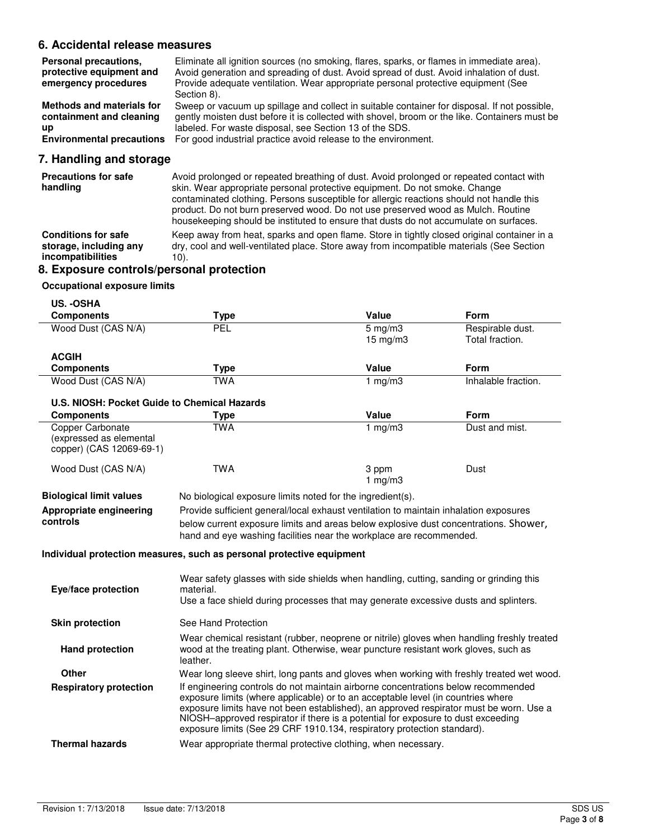# **6. Accidental release measures**

| Personal precautions,<br>protective equipment and<br>emergency procedures | Eliminate all ignition sources (no smoking, flares, sparks, or flames in immediate area).<br>Avoid generation and spreading of dust. Avoid spread of dust. Avoid inhalation of dust.<br>Provide adequate ventilation. Wear appropriate personal protective equipment (See<br>Section 8). |
|---------------------------------------------------------------------------|------------------------------------------------------------------------------------------------------------------------------------------------------------------------------------------------------------------------------------------------------------------------------------------|
| <b>Methods and materials for</b>                                          | Sweep or vacuum up spillage and collect in suitable container for disposal. If not possible,                                                                                                                                                                                             |
| containment and cleaning                                                  | gently moisten dust before it is collected with shovel, broom or the like. Containers must be                                                                                                                                                                                            |
| up                                                                        | labeled. For waste disposal, see Section 13 of the SDS.                                                                                                                                                                                                                                  |
| <b>Environmental precautions</b>                                          | For good industrial practice avoid release to the environment.                                                                                                                                                                                                                           |

# **7. Handling and storage**

| <b>Precautions for safe</b><br>handling                                   | Avoid prolonged or repeated breathing of dust. Avoid prolonged or repeated contact with<br>skin. Wear appropriate personal protective equipment. Do not smoke. Change<br>contaminated clothing. Persons susceptible for allergic reactions should not handle this<br>product. Do not burn preserved wood. Do not use preserved wood as Mulch. Routine<br>house keeping should be instituted to ensure that dusts do not accumulate on surfaces. |
|---------------------------------------------------------------------------|-------------------------------------------------------------------------------------------------------------------------------------------------------------------------------------------------------------------------------------------------------------------------------------------------------------------------------------------------------------------------------------------------------------------------------------------------|
| <b>Conditions for safe</b><br>storage, including any<br>incompatibilities | Keep away from heat, sparks and open flame. Store in tightly closed original container in a<br>dry, cool and well-ventilated place. Store away from incompatible materials (See Section<br>10).                                                                                                                                                                                                                                                 |
| 8. Exposure controls/personal protection                                  |                                                                                                                                                                                                                                                                                                                                                                                                                                                 |

# **Occupational exposure limits**

| US. - OSHA                                                                     |                                                                                                                                                                                                                                                                                                                                                                                                                                |                                       |                                     |
|--------------------------------------------------------------------------------|--------------------------------------------------------------------------------------------------------------------------------------------------------------------------------------------------------------------------------------------------------------------------------------------------------------------------------------------------------------------------------------------------------------------------------|---------------------------------------|-------------------------------------|
| <b>Components</b>                                                              | <b>Type</b>                                                                                                                                                                                                                                                                                                                                                                                                                    | Value                                 | Form                                |
| Wood Dust (CAS N/A)                                                            | PEL                                                                                                                                                                                                                                                                                                                                                                                                                            | $5 \text{ mg/m}$<br>$15 \text{ mg/m}$ | Respirable dust.<br>Total fraction. |
| <b>ACGIH</b>                                                                   |                                                                                                                                                                                                                                                                                                                                                                                                                                |                                       |                                     |
| <b>Components</b>                                                              | <b>Type</b>                                                                                                                                                                                                                                                                                                                                                                                                                    | Value                                 | Form                                |
| Wood Dust (CAS N/A)                                                            | <b>TWA</b>                                                                                                                                                                                                                                                                                                                                                                                                                     | 1 $mg/m3$                             | Inhalable fraction.                 |
| U.S. NIOSH: Pocket Guide to Chemical Hazards                                   |                                                                                                                                                                                                                                                                                                                                                                                                                                |                                       |                                     |
| <b>Components</b>                                                              | <b>Type</b>                                                                                                                                                                                                                                                                                                                                                                                                                    | <b>Value</b>                          | Form                                |
| <b>Copper Carbonate</b><br>(expressed as elemental<br>copper) (CAS 12069-69-1) | <b>TWA</b>                                                                                                                                                                                                                                                                                                                                                                                                                     | $1$ mg/m $3$                          | Dust and mist.                      |
| Wood Dust (CAS N/A)                                                            | <b>TWA</b>                                                                                                                                                                                                                                                                                                                                                                                                                     | 3 ppm<br>1 $mg/m3$                    | Dust                                |
| <b>Biological limit values</b>                                                 | No biological exposure limits noted for the ingredient(s).                                                                                                                                                                                                                                                                                                                                                                     |                                       |                                     |
| Appropriate engineering<br>controls                                            | Provide sufficient general/local exhaust ventilation to maintain inhalation exposures<br>below current exposure limits and areas below explosive dust concentrations. Shower,<br>hand and eye washing facilities near the workplace are recommended.                                                                                                                                                                           |                                       |                                     |
|                                                                                | Individual protection measures, such as personal protective equipment                                                                                                                                                                                                                                                                                                                                                          |                                       |                                     |
| Eye/face protection                                                            | Wear safety glasses with side shields when handling, cutting, sanding or grinding this<br>material.<br>Use a face shield during processes that may generate excessive dusts and splinters.                                                                                                                                                                                                                                     |                                       |                                     |
| <b>Skin protection</b>                                                         | See Hand Protection                                                                                                                                                                                                                                                                                                                                                                                                            |                                       |                                     |
| <b>Hand protection</b>                                                         | Wear chemical resistant (rubber, neoprene or nitrile) gloves when handling freshly treated<br>wood at the treating plant. Otherwise, wear puncture resistant work gloves, such as<br>leather.                                                                                                                                                                                                                                  |                                       |                                     |
| <b>Other</b>                                                                   | Wear long sleeve shirt, long pants and gloves when working with freshly treated wet wood.                                                                                                                                                                                                                                                                                                                                      |                                       |                                     |
| <b>Respiratory protection</b>                                                  | If engineering controls do not maintain airborne concentrations below recommended<br>exposure limits (where applicable) or to an acceptable level (in countries where<br>exposure limits have not been established), an approved respirator must be worn. Use a<br>NIOSH-approved respirator if there is a potential for exposure to dust exceeding<br>exposure limits (See 29 CRF 1910.134, respiratory protection standard). |                                       |                                     |
| <b>Thermal hazards</b>                                                         | Wear appropriate thermal protective clothing, when necessary.                                                                                                                                                                                                                                                                                                                                                                  |                                       |                                     |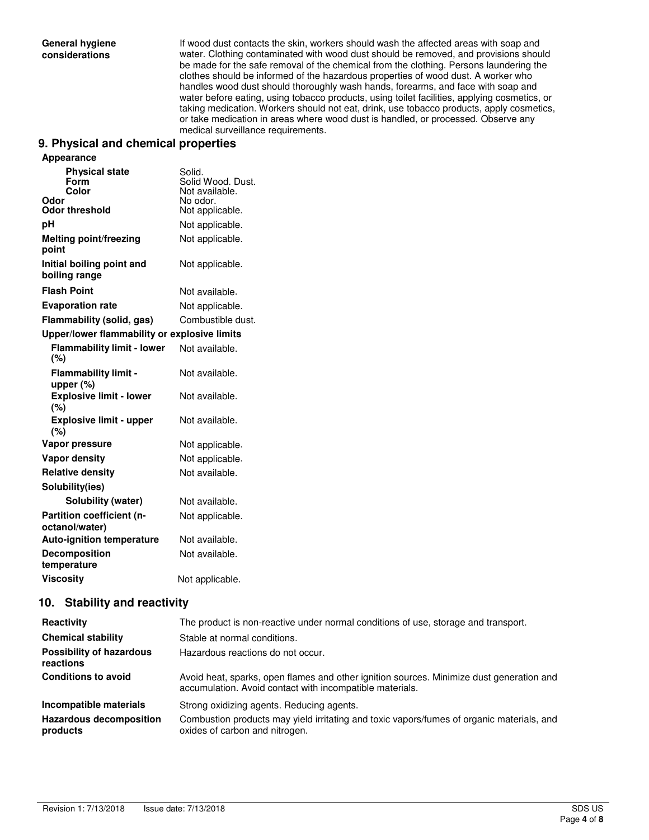If wood dust contacts the skin, workers should wash the affected areas with soap and water. Clothing contaminated with wood dust should be removed, and provisions should be made for the safe removal of the chemical from the clothing. Persons laundering the clothes should be informed of the hazardous properties of wood dust. A worker who handles wood dust should thoroughly wash hands, forearms, and face with soap and water before eating, using tobacco products, using toilet facilities, applying cosmetics, or taking medication. Workers should not eat, drink, use tobacco products, apply cosmetics, or take medication in areas where wood dust is handled, or processed. Observe any medical surveillance requirements.

#### **9. Physical and chemical properties**

| <b>Appearance</b>                             |                                               |
|-----------------------------------------------|-----------------------------------------------|
| <b>Physical state</b><br><b>Form</b><br>Color | Solid.<br>Solid Wood, Dust.<br>Not available. |
| Odor<br><b>Odor threshold</b>                 | No odor.<br>Not applicable.                   |
| рH                                            | Not applicable.                               |
| <b>Melting point/freezing</b><br>point        | Not applicable.                               |
| Initial boiling point and<br>boiling range    | Not applicable.                               |
| <b>Flash Point</b>                            | Not available.                                |
| <b>Evaporation rate</b>                       | Not applicable.                               |
| Flammability (solid, gas)                     | Combustible dust.                             |
| Upper/lower flammability or explosive limits  |                                               |
| <b>Flammability limit - lower</b><br>(%)      | Not available.                                |
| <b>Flammability limit -</b><br>upper $(\%)$   | Not available.                                |
| <b>Explosive limit - lower</b><br>(%)         | Not available.                                |
| <b>Explosive limit - upper</b><br>(%)         | Not available.                                |
| Vapor pressure                                | Not applicable.                               |
| <b>Vapor density</b>                          | Not applicable.                               |
| <b>Relative density</b>                       | Not available.                                |
| Solubility(ies)                               |                                               |
| Solubility (water)                            | Not available.                                |
| Partition coefficient (n-<br>octanol/water)   | Not applicable.                               |
| <b>Auto-ignition temperature</b>              | Not available.                                |
| <b>Decomposition</b><br>temperature           | Not available.                                |
| <b>Viscosity</b>                              | Not applicable.                               |

## **10. Stability and reactivity**

| Reactivity                                   | The product is non-reactive under normal conditions of use, storage and transport.                                                                   |
|----------------------------------------------|------------------------------------------------------------------------------------------------------------------------------------------------------|
| <b>Chemical stability</b>                    | Stable at normal conditions.                                                                                                                         |
| <b>Possibility of hazardous</b><br>reactions | Hazardous reactions do not occur.                                                                                                                    |
| <b>Conditions to avoid</b>                   | Avoid heat, sparks, open flames and other ignition sources. Minimize dust generation and<br>accumulation. Avoid contact with incompatible materials. |
| Incompatible materials                       | Strong oxidizing agents. Reducing agents.                                                                                                            |
| <b>Hazardous decomposition</b><br>products   | Combustion products may yield irritating and toxic vapors/fumes of organic materials, and<br>oxides of carbon and nitrogen.                          |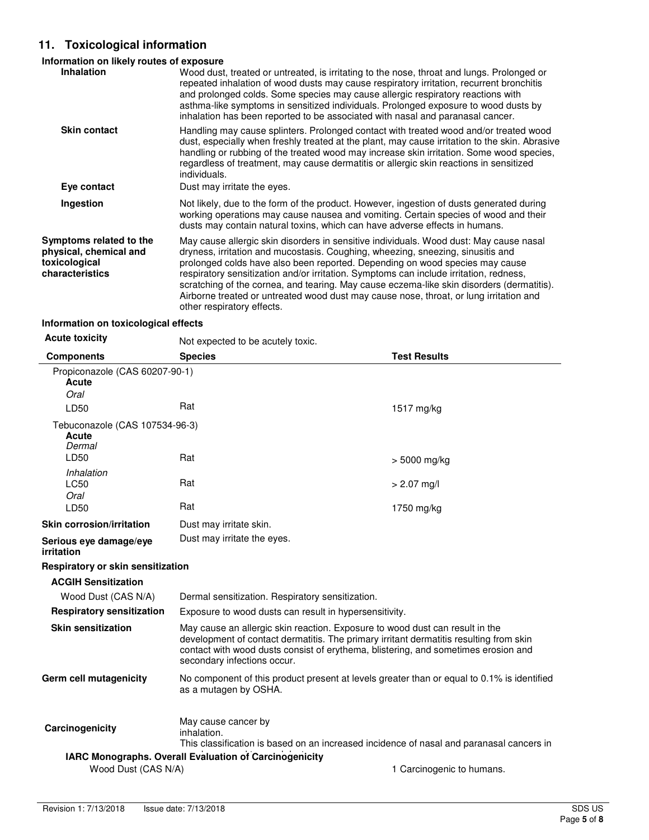# **11. Toxicological information**

## **Information on likely routes of exposure**

| <b>Inhalation</b>                                                                     | Wood dust, treated or untreated, is irritating to the nose, throat and lungs. Prolonged or<br>repeated inhalation of wood dusts may cause respiratory irritation, recurrent bronchitis<br>and prolonged colds. Some species may cause allergic respiratory reactions with<br>asthma-like symptoms in sensitized individuals. Prolonged exposure to wood dusts by<br>inhalation has been reported to be associated with nasal and paranasal cancer.                                                                                                                       |
|---------------------------------------------------------------------------------------|--------------------------------------------------------------------------------------------------------------------------------------------------------------------------------------------------------------------------------------------------------------------------------------------------------------------------------------------------------------------------------------------------------------------------------------------------------------------------------------------------------------------------------------------------------------------------|
| <b>Skin contact</b>                                                                   | Handling may cause splinters. Prolonged contact with treated wood and/or treated wood<br>dust, especially when freshly treated at the plant, may cause irritation to the skin. Abrasive<br>handling or rubbing of the treated wood may increase skin irritation. Some wood species,<br>regardless of treatment, may cause dermatitis or allergic skin reactions in sensitized<br>individuals.                                                                                                                                                                            |
| Eye contact                                                                           | Dust may irritate the eyes.                                                                                                                                                                                                                                                                                                                                                                                                                                                                                                                                              |
| Ingestion                                                                             | Not likely, due to the form of the product. However, ingestion of dusts generated during<br>working operations may cause nausea and vomiting. Certain species of wood and their<br>dusts may contain natural toxins, which can have adverse effects in humans.                                                                                                                                                                                                                                                                                                           |
| Symptoms related to the<br>physical, chemical and<br>toxicological<br>characteristics | May cause allergic skin disorders in sensitive individuals. Wood dust: May cause nasal<br>dryness, irritation and mucostasis. Coughing, wheezing, sneezing, sinusitis and<br>prolonged colds have also been reported. Depending on wood species may cause<br>respiratory sensitization and/or irritation. Symptoms can include irritation, redness,<br>scratching of the cornea, and tearing. May cause eczema-like skin disorders (dermatitis).<br>Airborne treated or untreated wood dust may cause nose, throat, or lung irritation and<br>other respiratory effects. |

# **Information on toxicological effects**

| <b>Acute toxicity</b>                             | Not expected to be acutely toxic.                                                                                                                                                                                                                                                           |                           |
|---------------------------------------------------|---------------------------------------------------------------------------------------------------------------------------------------------------------------------------------------------------------------------------------------------------------------------------------------------|---------------------------|
| <b>Components</b>                                 | <b>Species</b>                                                                                                                                                                                                                                                                              | <b>Test Results</b>       |
| Propiconazole (CAS 60207-90-1)<br>Acute<br>Oral   |                                                                                                                                                                                                                                                                                             |                           |
| LD50                                              | Rat                                                                                                                                                                                                                                                                                         | 1517 mg/kg                |
| Tebuconazole (CAS 107534-96-3)<br>Acute<br>Dermal |                                                                                                                                                                                                                                                                                             |                           |
| LD50                                              | Rat                                                                                                                                                                                                                                                                                         | > 5000 mg/kg              |
| Inhalation<br>LC50<br>Oral                        | Rat                                                                                                                                                                                                                                                                                         | $> 2.07$ mg/l             |
| LD50                                              | Rat                                                                                                                                                                                                                                                                                         | 1750 mg/kg                |
| Skin corrosion/irritation                         | Dust may irritate skin.                                                                                                                                                                                                                                                                     |                           |
| Serious eye damage/eye<br>irritation              | Dust may irritate the eyes.                                                                                                                                                                                                                                                                 |                           |
| Respiratory or skin sensitization                 |                                                                                                                                                                                                                                                                                             |                           |
| <b>ACGIH Sensitization</b>                        |                                                                                                                                                                                                                                                                                             |                           |
| Wood Dust (CAS N/A)                               | Dermal sensitization. Respiratory sensitization.                                                                                                                                                                                                                                            |                           |
| <b>Respiratory sensitization</b>                  | Exposure to wood dusts can result in hypersensitivity.                                                                                                                                                                                                                                      |                           |
| <b>Skin sensitization</b>                         | May cause an allergic skin reaction. Exposure to wood dust can result in the<br>development of contact dermatitis. The primary irritant dermatitis resulting from skin<br>contact with wood dusts consist of erythema, blistering, and sometimes erosion and<br>secondary infections occur. |                           |
| <b>Germ cell mutagenicity</b>                     | No component of this product present at levels greater than or equal to 0.1% is identified<br>as a mutagen by OSHA.                                                                                                                                                                         |                           |
| Carcinogenicity                                   | May cause cancer by<br>inhalation.<br>This classification is based on an increased incidence of nasal and paranasal cancers in                                                                                                                                                              |                           |
| Wood Dust (CAS N/A)                               | IARC Monographs. Overall Evaluation of Carcinogenicity                                                                                                                                                                                                                                      | 1 Carcinogenic to humans. |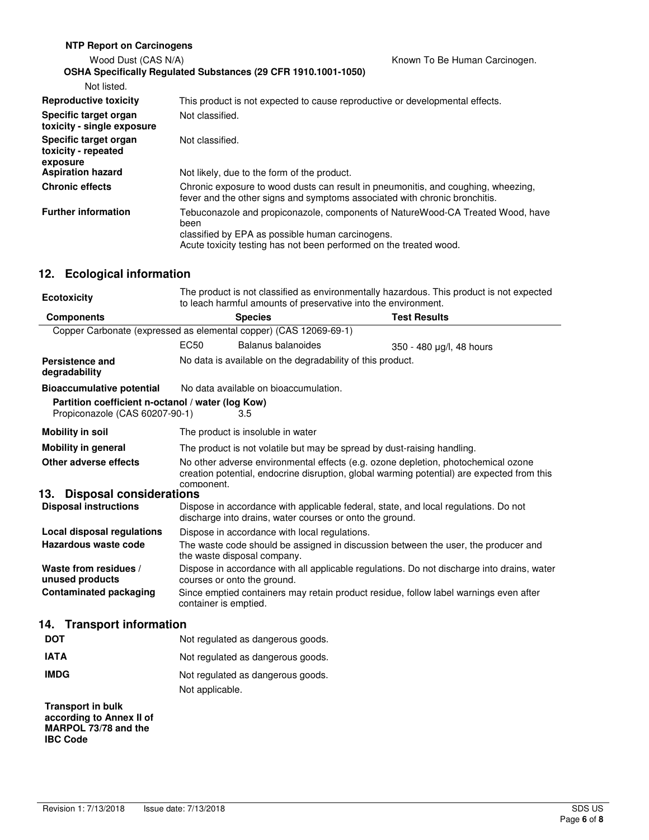| <b>NTP Report on Carcinogens</b>                         |                                                                                                                                                                                                                  |                               |
|----------------------------------------------------------|------------------------------------------------------------------------------------------------------------------------------------------------------------------------------------------------------------------|-------------------------------|
| Wood Dust (CAS N/A)                                      |                                                                                                                                                                                                                  | Known To Be Human Carcinogen. |
|                                                          | OSHA Specifically Regulated Substances (29 CFR 1910.1001-1050)                                                                                                                                                   |                               |
| Not listed.                                              |                                                                                                                                                                                                                  |                               |
| <b>Reproductive toxicity</b>                             | This product is not expected to cause reproductive or developmental effects.                                                                                                                                     |                               |
| Specific target organ<br>toxicity - single exposure      | Not classified.                                                                                                                                                                                                  |                               |
| Specific target organ<br>toxicity - repeated<br>exposure | Not classified.                                                                                                                                                                                                  |                               |
| <b>Aspiration hazard</b>                                 | Not likely, due to the form of the product.                                                                                                                                                                      |                               |
| <b>Chronic effects</b>                                   | Chronic exposure to wood dusts can result in pneumonitis, and coughing, wheezing,<br>fever and the other signs and symptoms associated with chronic bronchitis.                                                  |                               |
| <b>Further information</b>                               | Tebuconazole and propiconazole, components of NatureWood-CA Treated Wood, have<br>been<br>classified by EPA as possible human carcinogens.<br>Acute toxicity testing has not been performed on the treated wood. |                               |

# **12. Ecological information**

| <b>Ecotoxicity</b>                                                                  | The product is not classified as environmentally hazardous. This product is not expected<br>to leach harmful amounts of preservative into the environment.                                    |                                                                         |                                                                                            |
|-------------------------------------------------------------------------------------|-----------------------------------------------------------------------------------------------------------------------------------------------------------------------------------------------|-------------------------------------------------------------------------|--------------------------------------------------------------------------------------------|
| <b>Components</b>                                                                   |                                                                                                                                                                                               | <b>Species</b>                                                          | <b>Test Results</b>                                                                        |
|                                                                                     |                                                                                                                                                                                               | Copper Carbonate (expressed as elemental copper) (CAS 12069-69-1)       |                                                                                            |
|                                                                                     | EC <sub>50</sub>                                                                                                                                                                              | Balanus balanoides                                                      | 350 - 480 µg/l, 48 hours                                                                   |
| <b>Persistence and</b><br>degradability                                             |                                                                                                                                                                                               | No data is available on the degradability of this product.              |                                                                                            |
| <b>Bioaccumulative potential</b>                                                    |                                                                                                                                                                                               | No data available on bioaccumulation.                                   |                                                                                            |
| Partition coefficient n-octanol / water (log Kow)<br>Propiconazole (CAS 60207-90-1) |                                                                                                                                                                                               | 3.5                                                                     |                                                                                            |
| <b>Mobility in soil</b>                                                             |                                                                                                                                                                                               | The product is insoluble in water                                       |                                                                                            |
| <b>Mobility in general</b>                                                          |                                                                                                                                                                                               | The product is not volatile but may be spread by dust-raising handling. |                                                                                            |
| Other adverse effects                                                               | No other adverse environmental effects (e.g. ozone depletion, photochemical ozone<br>creation potential, endocrine disruption, global warming potential) are expected from this<br>component. |                                                                         |                                                                                            |
| <b>Disposal considerations</b><br>13.                                               |                                                                                                                                                                                               |                                                                         |                                                                                            |
| <b>Disposal instructions</b>                                                        |                                                                                                                                                                                               | discharge into drains, water courses or onto the ground.                | Dispose in accordance with applicable federal, state, and local regulations. Do not        |
| Local disposal regulations                                                          |                                                                                                                                                                                               | Dispose in accordance with local regulations.                           |                                                                                            |
| Hazardous waste code                                                                |                                                                                                                                                                                               | the waste disposal company.                                             | The waste code should be assigned in discussion between the user, the producer and         |
| Waste from residues /<br>unused products                                            |                                                                                                                                                                                               | courses or onto the ground.                                             | Dispose in accordance with all applicable regulations. Do not discharge into drains, water |
| <b>Contaminated packaging</b>                                                       | container is emptied.                                                                                                                                                                         |                                                                         | Since emptied containers may retain product residue, follow label warnings even after      |
| 14. Transport information                                                           |                                                                                                                                                                                               |                                                                         |                                                                                            |
| <b>DOT</b>                                                                          |                                                                                                                                                                                               | Not regulated as dangerous goods.                                       |                                                                                            |
| <b>IATA</b>                                                                         |                                                                                                                                                                                               | Not regulated as dangerous goods.                                       |                                                                                            |
| <b>IMDG</b>                                                                         |                                                                                                                                                                                               | Not regulated as dangerous goods.                                       |                                                                                            |
|                                                                                     | Not applicable.                                                                                                                                                                               |                                                                         |                                                                                            |
| <b>Transport in bulk</b>                                                            |                                                                                                                                                                                               |                                                                         |                                                                                            |

**according to Annex II of MARPOL 73/78 and the IBC Code**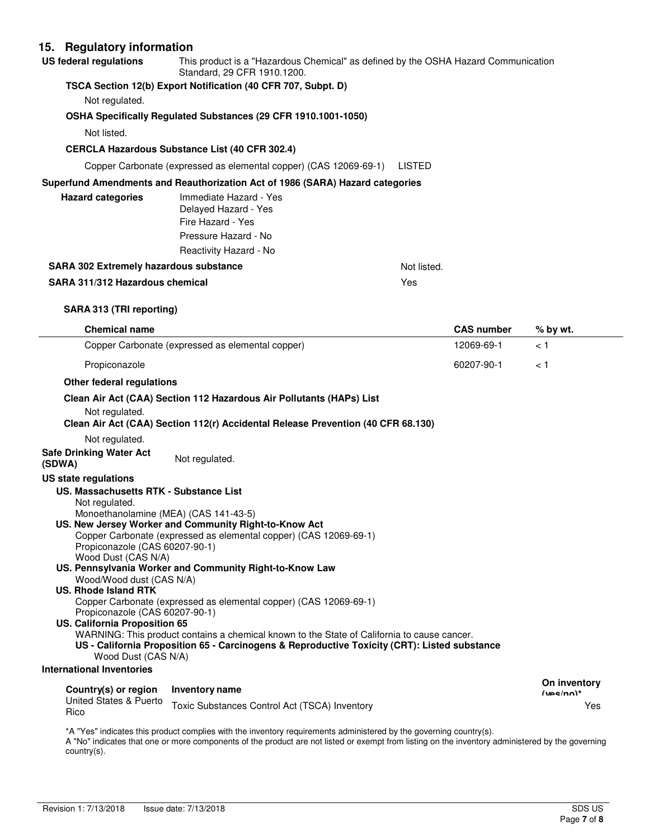## **15. Regulatory information**

| US federal regulations | This product is a "Hazardous Chemical" as defined by the OSHA Hazard Communication<br>Standard, 29 CFR 1910.1200. |
|------------------------|-------------------------------------------------------------------------------------------------------------------|
|                        |                                                                                                                   |

#### **TSCA Section 12(b) Export Notification (40 CFR 707, Subpt. D)**

Not regulated.

#### **OSHA Specifically Regulated Substances (29 CFR 1910.1001-1050)**

Not listed.

#### **CERCLA Hazardous Substance List (40 CFR 302.4)**

Copper Carbonate (expressed as elemental copper) (CAS 12069-69-1) LISTED

#### **Superfund Amendments and Reauthorization Act of 1986 (SARA) Hazard categories**

| <b>Hazard categories</b>               | Immediate Hazard - Yes<br>Delayed Hazard - Yes |             |
|----------------------------------------|------------------------------------------------|-------------|
|                                        | Fire Hazard - Yes                              |             |
|                                        | Pressure Hazard - No                           |             |
|                                        | Reactivity Hazard - No                         |             |
| SARA 302 Extremely hazardous substance |                                                | Not listed. |

#### **SARA 311/312 Hazardous chemical** Yes

**SARA 313 (TRI reporting)**

| <b>Chemical name</b>                                                                                                                                                                                                                                                                                                                                |                                                                                                                                                                                                                                                                                                                                                                                                                                                           | <b>CAS number</b> | % by wt.     |
|-----------------------------------------------------------------------------------------------------------------------------------------------------------------------------------------------------------------------------------------------------------------------------------------------------------------------------------------------------|-----------------------------------------------------------------------------------------------------------------------------------------------------------------------------------------------------------------------------------------------------------------------------------------------------------------------------------------------------------------------------------------------------------------------------------------------------------|-------------------|--------------|
| Copper Carbonate (expressed as elemental copper)                                                                                                                                                                                                                                                                                                    |                                                                                                                                                                                                                                                                                                                                                                                                                                                           | 12069-69-1        | < 1          |
| Propiconazole                                                                                                                                                                                                                                                                                                                                       |                                                                                                                                                                                                                                                                                                                                                                                                                                                           | 60207-90-1        | < 1          |
| Other federal regulations                                                                                                                                                                                                                                                                                                                           |                                                                                                                                                                                                                                                                                                                                                                                                                                                           |                   |              |
| Not regulated.                                                                                                                                                                                                                                                                                                                                      | Clean Air Act (CAA) Section 112 Hazardous Air Pollutants (HAPs) List<br>Clean Air Act (CAA) Section 112(r) Accidental Release Prevention (40 CFR 68.130)                                                                                                                                                                                                                                                                                                  |                   |              |
| Not regulated.<br><b>Safe Drinking Water Act</b><br>(SDWA)                                                                                                                                                                                                                                                                                          | Not regulated.                                                                                                                                                                                                                                                                                                                                                                                                                                            |                   |              |
| US state regulations                                                                                                                                                                                                                                                                                                                                |                                                                                                                                                                                                                                                                                                                                                                                                                                                           |                   |              |
| US. Massachusetts RTK - Substance List<br>Not regulated.<br>Monoethanolamine (MEA) (CAS 141-43-5)<br>Propiconazole (CAS 60207-90-1)<br>Wood Dust (CAS N/A)<br>Wood/Wood dust (CAS N/A)<br><b>US. Rhode Island RTK</b><br>Propiconazole (CAS 60207-90-1)<br>US. California Proposition 65<br>Wood Dust (CAS N/A)<br><b>International Inventories</b> | US. New Jersey Worker and Community Right-to-Know Act<br>Copper Carbonate (expressed as elemental copper) (CAS 12069-69-1)<br>US. Pennsylvania Worker and Community Right-to-Know Law<br>Copper Carbonate (expressed as elemental copper) (CAS 12069-69-1)<br>WARNING: This product contains a chemical known to the State of California to cause cancer.<br>US - California Proposition 65 - Carcinogens & Reproductive Toxicity (CRT): Listed substance |                   |              |
|                                                                                                                                                                                                                                                                                                                                                     |                                                                                                                                                                                                                                                                                                                                                                                                                                                           |                   | On inventory |
| Country(s) or region<br>United States & Puerto                                                                                                                                                                                                                                                                                                      | Inventory name                                                                                                                                                                                                                                                                                                                                                                                                                                            |                   | $(vec/nn)^*$ |
| Rico                                                                                                                                                                                                                                                                                                                                                | Toxic Substances Control Act (TSCA) Inventory                                                                                                                                                                                                                                                                                                                                                                                                             |                   | Yes          |

\*A "Yes" indicates this product complies with the inventory requirements administered by the governing country(s). A "No" indicates that one or more components of the product are not listed or exempt from listing on the inventory administered by the governing country(s).